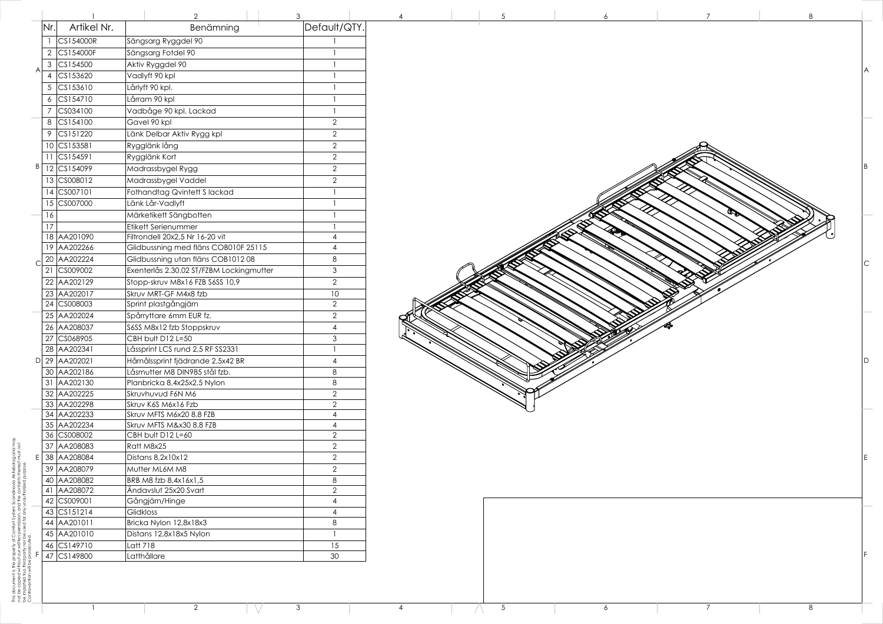This document is the property of Comfort System Scandinavia Aktiebolag and may xvia Aktiebolag and mo<br>tents thereof must not not be copied without our written permission, and the contents thereof must not be imparted toa third party nor be used for any unauthorized purpose. Scandin<br>d the cor<br>Jnauthori Contravention will be prosecuted. This document is the property<br>not be copied without our wr<br>be imparted toa third party n<br>Contravention will be prosecu

|   |                |                                        | 2                                        | 3                                |
|---|----------------|----------------------------------------|------------------------------------------|----------------------------------|
|   | Nr.            | Artikel Nr.                            | Benämning                                | Default/QTY.                     |
|   |                | CS154000R                              | Sängsarg Ryggdel 90                      |                                  |
|   | $\overline{2}$ | CS154000F                              | Sängsarg Fotdel 90                       | 1                                |
|   | 3              | CS154500                               | Aktiv Ryggdel 90                         |                                  |
| Α | 4              | CS153620                               | Vadlyft 90 kpl                           | 1                                |
|   | 5              | CS153610                               | Lårlyft 90 kpl.                          |                                  |
|   | 6              | CS154710                               | Lårram 90 kpl                            |                                  |
|   | 7              | CS034100                               | Vadbåge 90 kpl. Lackad                   | 1                                |
|   | 8              | CS154100                               | Gavel 90 kpl                             | $\overline{2}$                   |
|   | 9              | CS151220                               | Länk Delbar Aktiv Rygg kpl               | $\mathbf{2}$                     |
|   | 10             | CS153581                               | Rygglänk lång                            | $\overline{2}$                   |
|   | 11             | CS154591                               | Rygglänk Kort                            | $\sqrt{2}$                       |
| Β | 12             | CS154099                               | Madrassbygel Rygg                        | $\overline{2}$                   |
|   | 13             | CS008012                               | Madrassbygel Vaddel                      | $\sqrt{2}$                       |
|   | 14             | CS007101                               | Fothandtag Qvintett Slackad              | 1                                |
|   | 15             | CS007000                               | Länk Lår-Vadlyft                         | 1                                |
|   | 16             |                                        | Märketikett Sängbotten                   |                                  |
|   | 17             |                                        | Etikett Serienummer                      | 1                                |
|   | 18             | AA201090                               | Filtrondell 20x2,5 Nr 16-20 vit          | 4                                |
|   | 19             | AA202266                               | Glidbussning med fläns COB010F 25115     | 4                                |
| C | 20             | AA202224                               | Glidbussning utan fläns COB101208        | 8                                |
|   | 21             | CS009002                               | Exenterlås 2.30.02 ST/FZBM Lockingmutter | 3                                |
|   | 22             | AA202129                               | Stopp-skruv M8x16 FZB S6SS 10,9          | $\overline{2}$                   |
|   | 23             | AA202017                               | Skruv MRT-GF M4x8 fzb                    | 10                               |
|   | 24             | CS008003                               | Sprint plastgångjärn                     | $\sqrt{2}$                       |
|   | 25             | AA202024                               | Spårryttare 6mm EUR fz.                  | $\overline{2}$                   |
|   | 26             | AA208037                               | S6SS M8x12 fzb Stoppskruv                | 4                                |
|   | 27             | CS068905                               | CBH bult D12 L=50                        | 3                                |
|   |                | 28 AA202341                            | Låssprint LCS rund 2,5 RF SS2331         | 1                                |
| D |                | 29 AA202021                            | Hårnålssprint fjädrande 2,5x42 BR        | 4                                |
|   |                | 30 AA202186                            | Låsmutter M8 DIN985 stål fzb.            | 8                                |
|   | 31             | AA202130                               | Planbricka 8,4x25x2,5 Nylon              | 8                                |
|   |                | 32 AA202225<br>33 AA202298             | Skruvhuvud F6N M6<br>Skruv K6S M6x16 Fzb | $\overline{2}$<br>$\overline{2}$ |
|   |                | 34 AA202233                            | Skruv MFTS M6x20 8.8 FZB                 | $\overline{\mathcal{A}}$         |
|   |                | 35 AA202234                            | Skruv MFTS M&x30 8.8 FZB                 | $\overline{4}$                   |
|   |                | 36 CS008002                            | CBH bult D12 L=60                        | $\overline{2}$                   |
|   |                | 37 AA208083                            | Ratt M8x25                               | $\overline{2}$                   |
| Ε |                | 38 AA208084                            | Distans 8,2x10x12                        | $\overline{2}$                   |
|   |                | 39 AA208079                            | Mutter ML6M M8                           | $\overline{2}$                   |
|   |                | 40 AA208082                            | BRB M8 fzb 8,4x16x1,5                    | 8                                |
|   | 41             | AA208072                               | Ändavslut 25x20 Svart                    | $\sqrt{2}$                       |
|   | 42             | CS009001                               | Gångjärn/Hinge                           | 4                                |
|   | 43             | $\textcolor{blue}{\mathsf{CS}}$ 151214 | Glidkloss                                | $\overline{\mathcal{A}}$         |
|   |                | 44 AA201011                            | Bricka Nylon 12,8x18x3                   | 8                                |
|   |                | 45 AA201010                            | Distans 12,8x18x5 Nylon                  | 1                                |
|   | 46             | CS149710                               | Latt 718                                 | 15                               |
| F | 47             | CS149800                               | Latthållare                              | 30                               |



 $\bigwedge$ 

 $\mathbb{N}$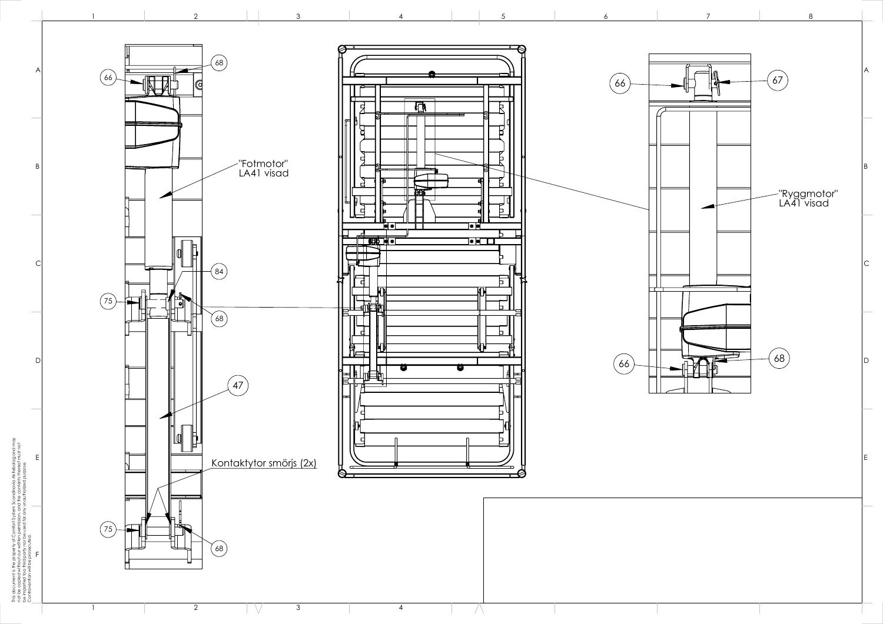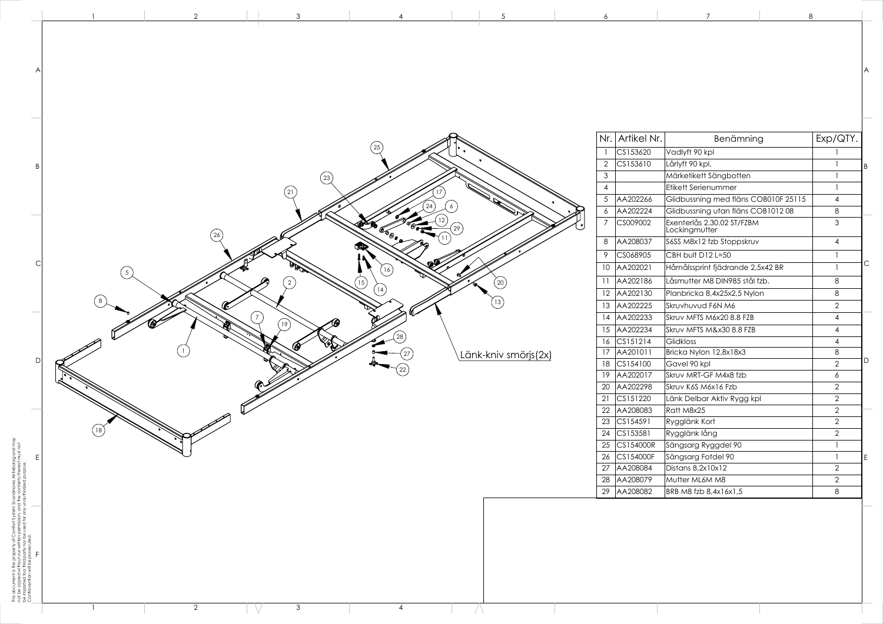|          |                                                                                                                                                   |                                                                                                                                                                                                                                                       | A                                                                                                                                                     |
|----------|---------------------------------------------------------------------------------------------------------------------------------------------------|-------------------------------------------------------------------------------------------------------------------------------------------------------------------------------------------------------------------------------------------------------|-------------------------------------------------------------------------------------------------------------------------------------------------------|
|          |                                                                                                                                                   |                                                                                                                                                                                                                                                       |                                                                                                                                                       |
|          |                                                                                                                                                   | I.                                                                                                                                                                                                                                                    |                                                                                                                                                       |
|          |                                                                                                                                                   | 1                                                                                                                                                                                                                                                     | B                                                                                                                                                     |
|          |                                                                                                                                                   | 1                                                                                                                                                                                                                                                     |                                                                                                                                                       |
|          | Etikett Serienummer                                                                                                                               | 1                                                                                                                                                                                                                                                     |                                                                                                                                                       |
| AA202266 | Glidbussning med fläns COB010F 25115                                                                                                              | 4                                                                                                                                                                                                                                                     |                                                                                                                                                       |
| AA202224 | Glidbussning utan fläns COB101208                                                                                                                 | 8                                                                                                                                                                                                                                                     |                                                                                                                                                       |
| CS009002 | Exenterlås 2.30.02 ST/FZBM<br>Lockingmutter                                                                                                       | 3                                                                                                                                                                                                                                                     |                                                                                                                                                       |
| AA208037 | S6SS M8x12 fzb Stoppskruv                                                                                                                         | 4                                                                                                                                                                                                                                                     |                                                                                                                                                       |
| CS068905 | CBH bult D12 L=50                                                                                                                                 | 1                                                                                                                                                                                                                                                     |                                                                                                                                                       |
| AA202021 | Hårnålssprint fjädrande 2,5x42 BR                                                                                                                 | 1                                                                                                                                                                                                                                                     | С                                                                                                                                                     |
| AA202186 | Låsmutter M8 DIN985 stål fzb.                                                                                                                     | 8                                                                                                                                                                                                                                                     |                                                                                                                                                       |
| AA202130 | Planbricka 8,4x25x2,5 Nylon                                                                                                                       | 8                                                                                                                                                                                                                                                     |                                                                                                                                                       |
| AA202225 | Skruvhuvud F6N M6                                                                                                                                 | $\overline{2}$                                                                                                                                                                                                                                        |                                                                                                                                                       |
| AA202233 | Skruv MFTS M6x20 8.8 FZB                                                                                                                          | 4                                                                                                                                                                                                                                                     |                                                                                                                                                       |
| AA202234 | Skruv MFTS M&x30 8.8 FZB                                                                                                                          | $\overline{\mathcal{A}}$                                                                                                                                                                                                                              |                                                                                                                                                       |
| CS151214 | Glidkloss                                                                                                                                         | 4                                                                                                                                                                                                                                                     |                                                                                                                                                       |
| AA201011 | Bricka Nylon 12,8x18x3                                                                                                                            | 8                                                                                                                                                                                                                                                     |                                                                                                                                                       |
| CS154100 | Gavel 90 kpl                                                                                                                                      | $\overline{2}$                                                                                                                                                                                                                                        | D                                                                                                                                                     |
| AA202017 | Skruv MRT-GF M4x8 fzb                                                                                                                             | 6                                                                                                                                                                                                                                                     |                                                                                                                                                       |
|          | Skruv K6S M6x16 Fzb                                                                                                                               |                                                                                                                                                                                                                                                       |                                                                                                                                                       |
|          |                                                                                                                                                   |                                                                                                                                                                                                                                                       |                                                                                                                                                       |
| AA208083 | Ratt M8x25                                                                                                                                        |                                                                                                                                                                                                                                                       |                                                                                                                                                       |
|          |                                                                                                                                                   |                                                                                                                                                                                                                                                       |                                                                                                                                                       |
|          |                                                                                                                                                   |                                                                                                                                                                                                                                                       |                                                                                                                                                       |
|          |                                                                                                                                                   |                                                                                                                                                                                                                                                       |                                                                                                                                                       |
|          |                                                                                                                                                   |                                                                                                                                                                                                                                                       | Ε                                                                                                                                                     |
|          |                                                                                                                                                   |                                                                                                                                                                                                                                                       |                                                                                                                                                       |
|          |                                                                                                                                                   |                                                                                                                                                                                                                                                       |                                                                                                                                                       |
|          |                                                                                                                                                   |                                                                                                                                                                                                                                                       |                                                                                                                                                       |
|          | Artikel Nr.<br>CS153620<br>CS153610<br>AA202298<br>CS151220<br>CS154591<br>CS153581<br>CS154000R<br>CS154000F<br>AA208084<br>AA208079<br>AA208082 | Benämning<br>Vadlyft 90 kpl<br>Lårlyft 90 kpl.<br>Märketikett Sängbotten<br>Länk Delbar Aktiv Rygg kpl<br>Rygglänk Kort<br>Rygglänk lång<br>Sängsarg Ryggdel 90<br>Sängsarg Fotdel 90<br>Distans 8,2x10x12<br>Mutter ML6M M8<br>BRB M8 fzb 8,4x16x1,5 | Exp/QTY.<br>$\overline{2}$<br>$\overline{2}$<br>$\overline{2}$<br>$\overline{2}$<br>$\overline{2}$<br>1<br>1<br>$\overline{2}$<br>$\overline{2}$<br>8 |



A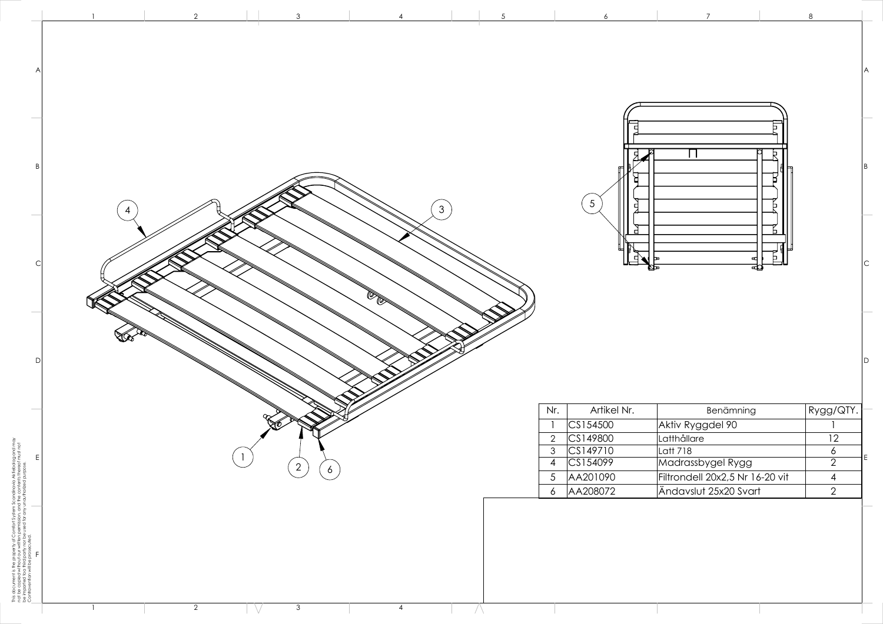This document is the property of Comfort System Scandinavia Aktiebolag and may



| 7                                                                                                                                        | $\circ$                                                                           |   |
|------------------------------------------------------------------------------------------------------------------------------------------|-----------------------------------------------------------------------------------|---|
|                                                                                                                                          |                                                                                   | Α |
|                                                                                                                                          |                                                                                   | B |
| αţ<br>며                                                                                                                                  |                                                                                   | С |
|                                                                                                                                          |                                                                                   | D |
| Benämning<br>ktiv Ryggdel 90<br><b>utthållare</b><br>att 718<br>adrassbygel Rygg<br>trondell 20x2,5 Nr 16-20 vit<br>ndavslut 25x20 Svart | Rygg/QTY.<br>1<br>12<br>$rac{6}{2}$<br>$\overline{\mathcal{A}}$<br>$\overline{2}$ | E |
|                                                                                                                                          |                                                                                   |   |

 $\circ$ 

 $\overline{7}$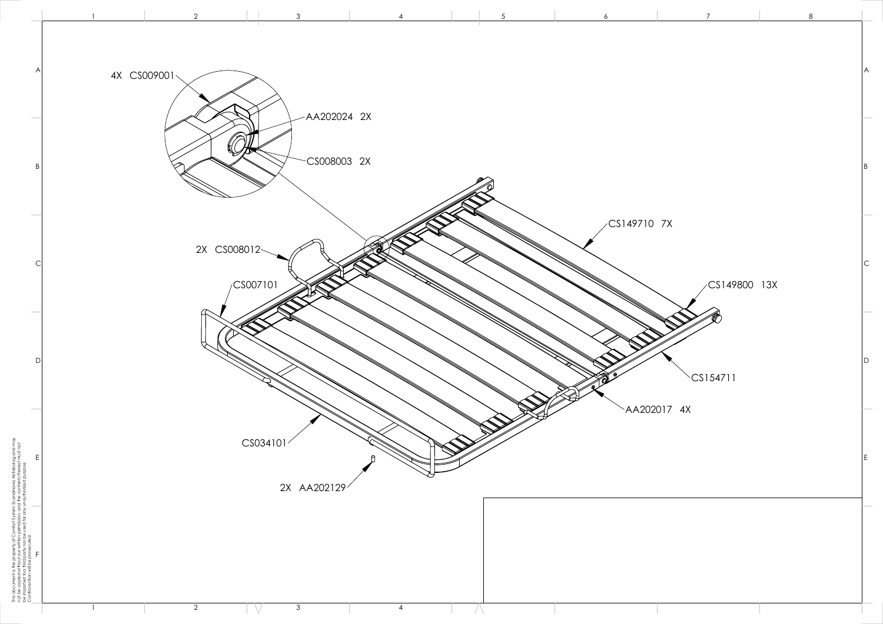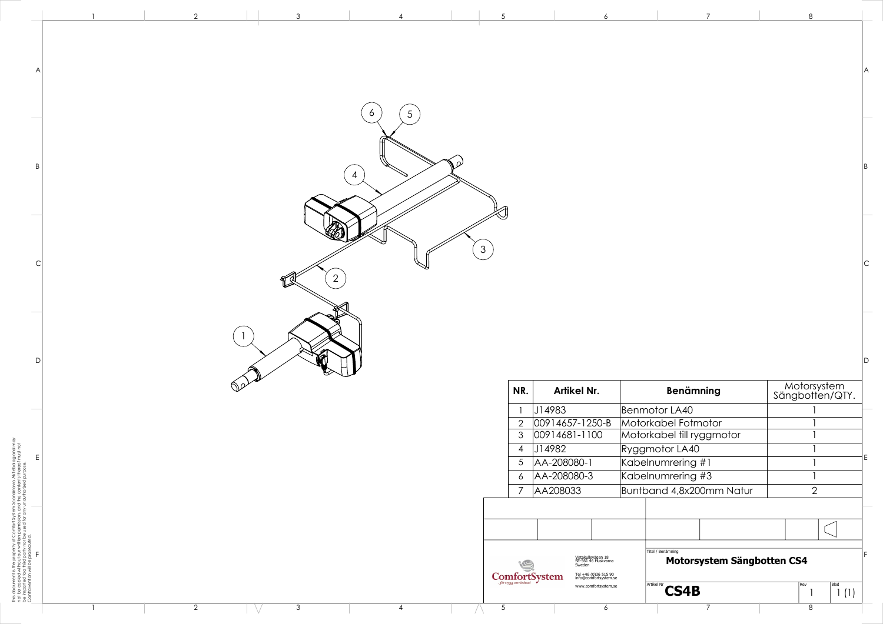|  | $\mathcal{S}$ |                               |                                                                                                                                                                               |                                                 |                                |  |
|--|---------------|-------------------------------|-------------------------------------------------------------------------------------------------------------------------------------------------------------------------------|-------------------------------------------------|--------------------------------|--|
|  |               |                               |                                                                                                                                                                               |                                                 |                                |  |
|  |               |                               |                                                                                                                                                                               |                                                 |                                |  |
|  |               | NR.                           | Artikel Nr.                                                                                                                                                                   | <b>Benämning</b>                                |                                |  |
|  |               |                               | J14983                                                                                                                                                                        | Benmotor LA40                                   | Motorsystem<br>Sängbotten/QTY. |  |
|  |               | $2^{\circ}$                   | $00914657 - 1250 - B$                                                                                                                                                         | Motorkabel Fotmotor                             |                                |  |
|  |               | 3 <sup>1</sup>                | $ 00914681 - 1100 $                                                                                                                                                           | Motorkabel till ryggmotor                       |                                |  |
|  |               | $\overline{4}$                | J14982                                                                                                                                                                        | Ryggmotor LA40                                  |                                |  |
|  |               |                               | 5 AA-208080-1                                                                                                                                                                 | Kabelnumrering #1                               |                                |  |
|  |               | 6 <sup>7</sup><br>$7^{\circ}$ | AA-208080-3                                                                                                                                                                   | Kabelnumrering #3                               | 2                              |  |
|  |               |                               | AA208033                                                                                                                                                                      | Buntband 4,8x200mm Natur                        |                                |  |
|  |               |                               |                                                                                                                                                                               |                                                 |                                |  |
|  |               | (S                            | Vistakullevägen 18<br>SE-561 46 Huskvarna<br>Sweden<br>$\underset{\textit{for trygg omr\textit{and}}}{\text{ComfortSystem}}$<br>Tel +46 (0)36 515 90<br>info@comfortsystem.se | Titel / Benämning<br>Motorsystem Sängbotten CS4 |                                |  |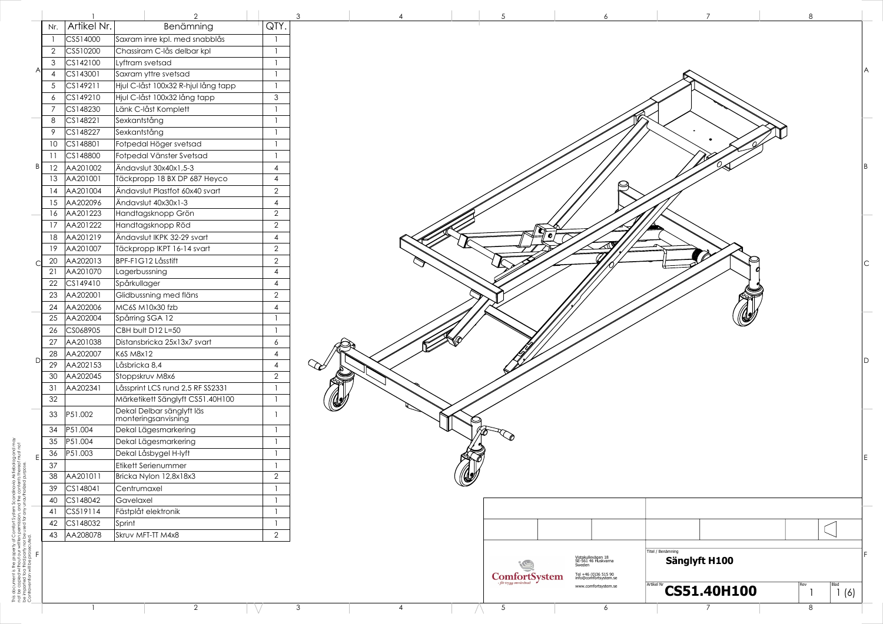|   |     |             | $\overline{2}$                      |                          | 3 |
|---|-----|-------------|-------------------------------------|--------------------------|---|
|   | Nr. | Artikel Nr. | Benämning                           | QTY.                     |   |
|   | 1   | CS514000    | Saxram inre kpl. med snabblås       | 1                        |   |
|   | 2   | CS510200    | Chassiram C-lås delbar kpl          | 1                        |   |
|   | 3   | CS142100    | Lyftram svetsad                     | 1                        |   |
| A | 4   | CS143001    | Saxram yttre svetsad                | 1                        |   |
|   | 5   | CS149211    | Hjul C-låst 100x32 R-hjul lång tapp | $\mathbf{1}$             |   |
|   | 6   | CS149210    | Hjul C-låst 100x32 lång tapp        | 3                        |   |
|   | 7   | CS148230    | Länk C-låst Komplett                | 1                        |   |
|   | 8   | CS148221    | Sexkantstång                        | 1                        |   |
|   | 9   | CS148227    | Sexkantstång                        | 1                        |   |
|   | 10  | CS148801    | Fotpedal Höger svetsad              | 1                        |   |
|   | 11  | CS148800    | Fotpedal Vänster Svetsad            | 1                        |   |
| B | 12  | AA201002    | Ändavslut 30x40x1,5-3               | 4                        |   |
|   | 13  | AA201001    | Täckpropp 18 BX DP 687 Heyco        | $\overline{4}$           |   |
|   | 14  | AA201004    | Ändavslut Plastfot 60x40 svart      | $\overline{2}$           |   |
|   | 15  | AA202096    | Ändavslut 40x30x1-3                 | $\overline{4}$           |   |
|   | 16  | AA201223    | Handtagsknopp Grön                  | $\overline{2}$           |   |
|   | 17  | AA201222    | Handtagsknopp Röd                   | $\overline{2}$           |   |
|   | 18  | AA201219    | Ändavslut IKPK 32-29 svart          | $\overline{4}$           |   |
|   | 19  | AA201007    | Täckpropp IKPT 16-14 svart          | $\overline{2}$           |   |
|   | 20  | AA202013    | BPF-F1G12 Låsstift                  | $\overline{2}$           |   |
| С | 21  | AA201070    | Lagerbussning                       | 4                        |   |
|   | 22  | CS149410    | Spårkullager                        | $\overline{4}$           |   |
|   | 23  | AA202001    | Glidbussning med fläns              | $\overline{2}$           |   |
|   | 24  | AA202006    | MC6S M10x30 fzb                     | $\overline{\mathcal{A}}$ |   |
|   | 25  | AA202004    | Spårring SGA 12                     | 1                        |   |
|   | 26  | CS068905    | CBH bult D12 L=50                   | $\mathbf{1}$             |   |
|   | 27  | AA201038    | Distansbricka 25x13x7 svart         | 6                        |   |
|   | 28  | AA202007    | K6S M8x12                           | 4                        |   |
| D | 29  | AA202153    | Låsbricka 8,4                       | $\overline{4}$           |   |
|   | 30  | AA202045    | Stoppskruv M8x6                     | $\overline{2}$           |   |
|   | 31  | AA202341    | Låssprint LCS rund 2,5 RF SS2331    | 1                        |   |
|   | 32  |             | Märketikett Sänglyft CS51.40H100    | 1                        |   |
|   |     |             | Dekal Delbar sänglyft läs           |                          |   |
|   | 33  | P51.002     | monteringsanvisning                 | 1                        |   |
|   | 34  | P51.004     | Dekal Lägesmarkering                | 1                        |   |
|   | 35  | P51.004     | Dekal Lägesmarkering                | 1                        |   |
| E | 36  | P51.003     | Dekal Låsbygel H-lyft               | 1                        |   |
|   | 37  |             | Etikett Serienummer                 | 1                        |   |
|   | 38  | AA201011    | Bricka Nylon 12,8x18x3              | $\overline{2}$           |   |
|   | 39  | CS148041    | Centrumaxel                         | 1                        |   |
|   | 40  | CS148042    | Gavelaxel                           | 1                        |   |
|   | 41  | CS519114    | Fästplåt elektronik                 | 1                        |   |
|   | 42  | CS148032    | Sprint                              | 1                        |   |
|   | 43  | AA208078    | Skruv MFT-TT M4x8                   | $\overline{2}$           |   |
| F |     |             |                                     |                          |   |



avia Aktiebolag and may<br>ntents thereof must not This document is the property of Comfort System Scandinavia Aktiebolag and may not be copied without our written permission, and the contents thereof must not be imparted toa third party nor be used for any unauthorized purpose. of our v<br>d party This document is the proton to be copied without be imparted to a third p<br>be imparted toa third p<br>Contravention will be p

- V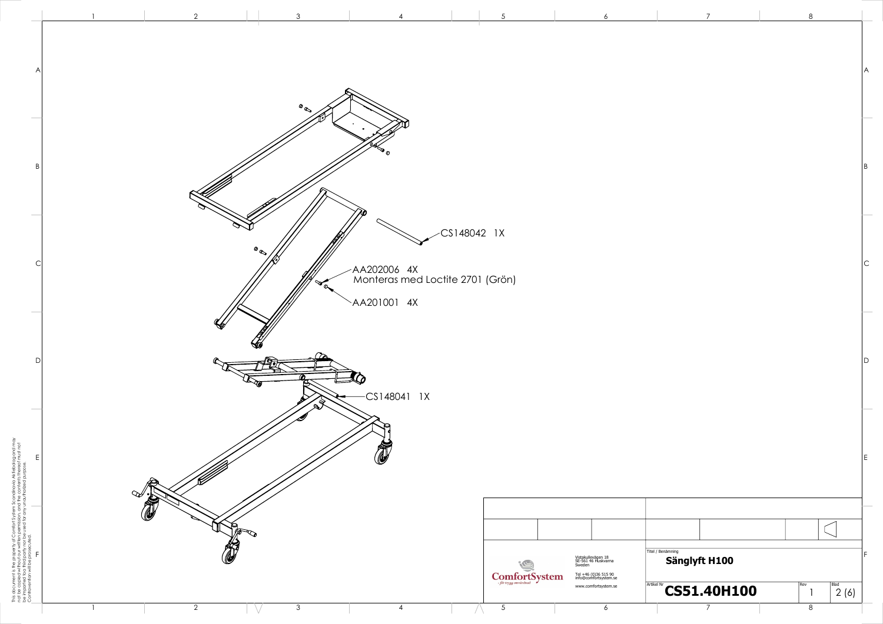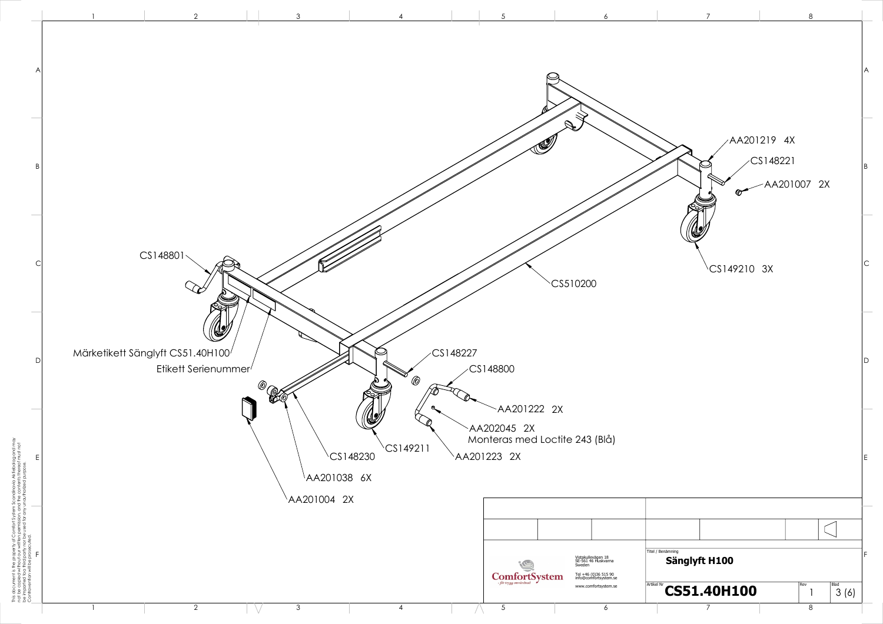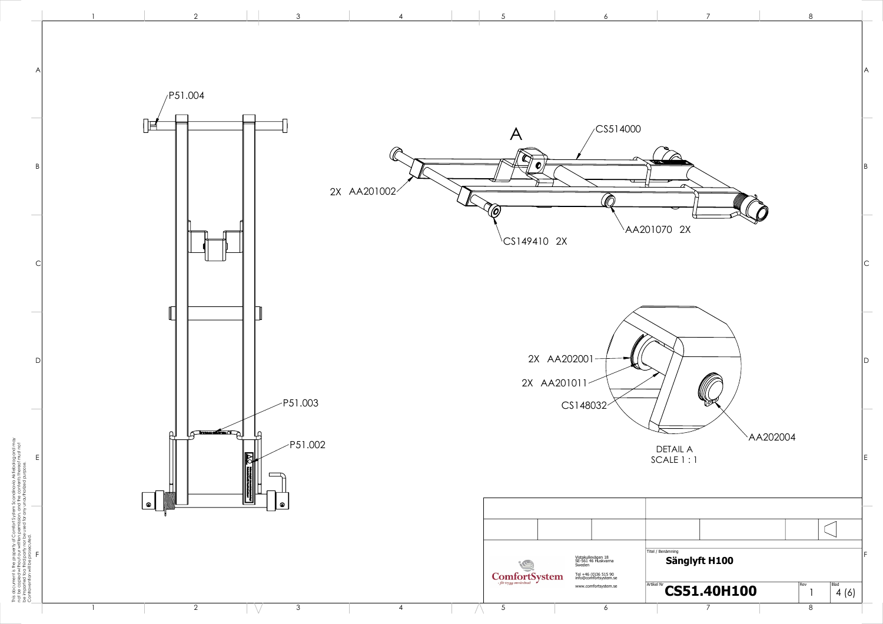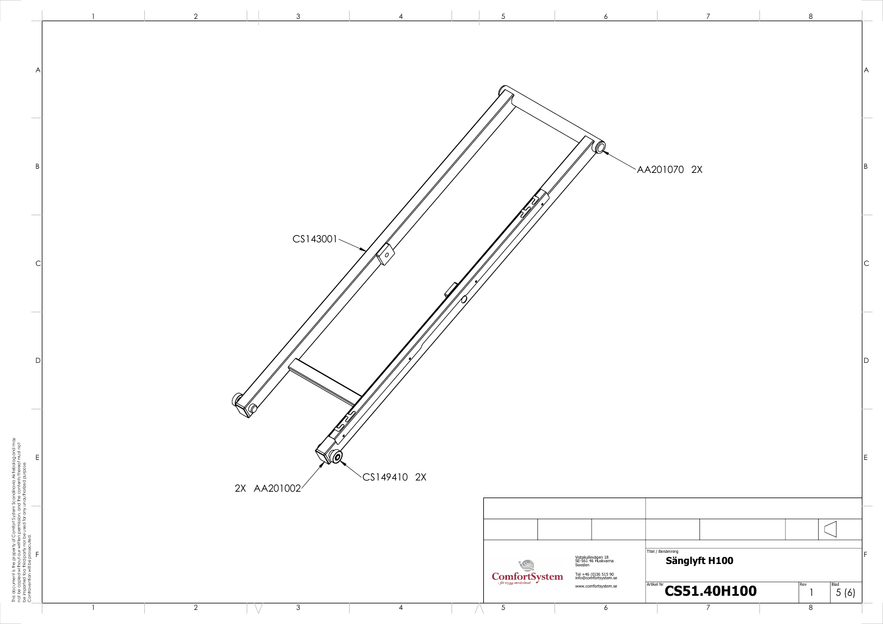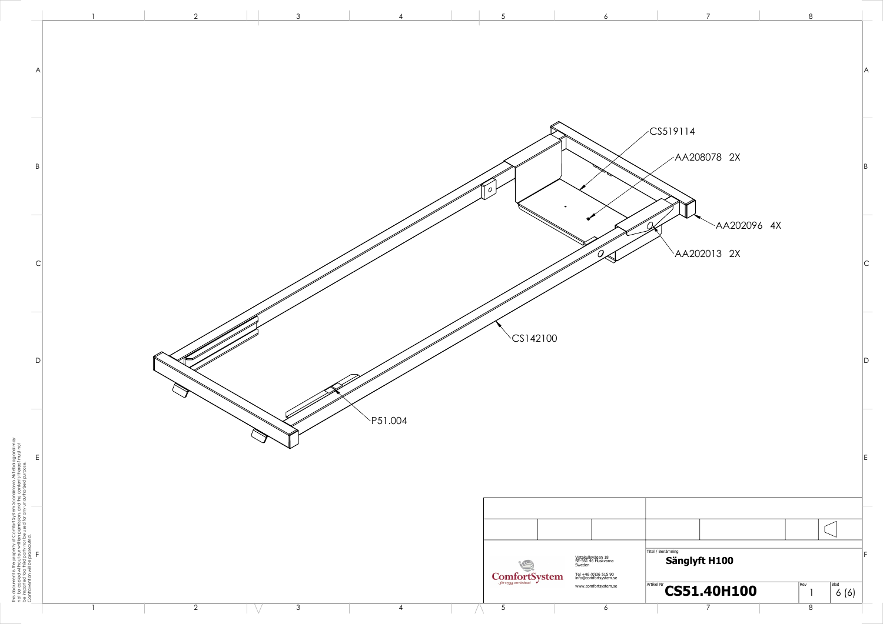